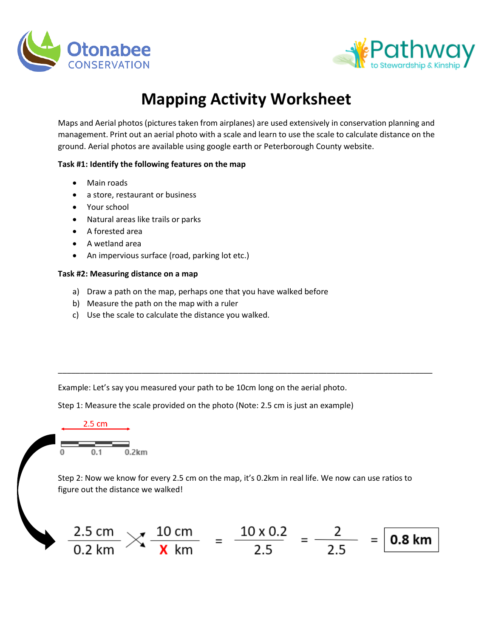



## **Mapping Activity Worksheet**

Maps and Aerial photos (pictures taken from airplanes) are used extensively in conservation planning and management. Print out an aerial photo with a scale and learn to use the scale to calculate distance on the ground. Aerial photos are available using google earth or Peterborough County website.

## **Task #1: Identify the following features on the map**

- Main roads
- a store, restaurant or business
- Your school
- Natural areas like trails or parks
- A forested area
- A wetland area
- An impervious surface (road, parking lot etc.)

## **Task #2: Measuring distance on a map**

- a) Draw a path on the map, perhaps one that you have walked before
- b) Measure the path on the map with a ruler
- c) Use the scale to calculate the distance you walked.

Example: Let's say you measured your path to be 10cm long on the aerial photo.

Step 1: Measure the scale provided on the photo (Note: 2.5 cm is just an example)



Step 2: Now we know for every 2.5 cm on the map, it's 0.2km in real life. We now can use ratios to figure out the distance we walked!

\_\_\_\_\_\_\_\_\_\_\_\_\_\_\_\_\_\_\_\_\_\_\_\_\_\_\_\_\_\_\_\_\_\_\_\_\_\_\_\_\_\_\_\_\_\_\_\_\_\_\_\_\_\_\_\_\_\_\_\_\_\_\_\_\_\_\_\_\_\_\_\_\_\_\_\_\_\_\_\_\_\_\_\_\_

$$
\frac{2.5 \text{ cm}}{0.2 \text{ km}} \times \frac{10 \text{ cm}}{10 \text{ km}} = \frac{10 \times 0.2}{2.5} = \frac{2}{2.5} = 0.8 \text{ km}
$$